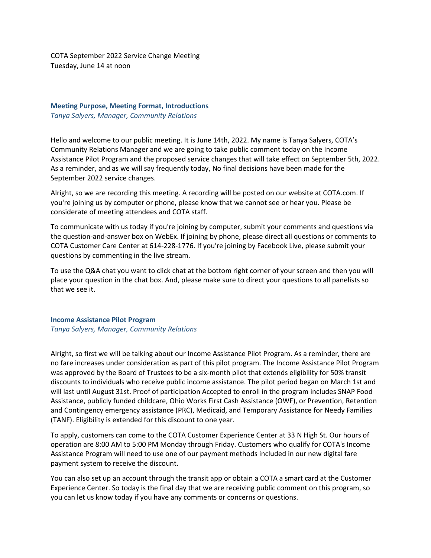COTA September 2022 Service Change Meeting Tuesday, June 14 at noon

## **Meeting Purpose, Meeting Format, Introductions** *Tanya Salyers, Manager, Community Relations*

Hello and welcome to our public meeting. It is June 14th, 2022. My name is Tanya Salyers, COTA's Community Relations Manager and we are going to take public comment today on the Income Assistance Pilot Program and the proposed service changes that will take effect on September 5th, 2022. As a reminder, and as we will say frequently today, No final decisions have been made for the September 2022 service changes.

Alright, so we are recording this meeting. A recording will be posted on our website at COTA.com. If you're joining us by computer or phone, please know that we cannot see or hear you. Please be considerate of meeting attendees and COTA staff.

To communicate with us today if you're joining by computer, submit your comments and questions via the question-and-answer box on WebEx. If joining by phone, please direct all questions or comments to COTA Customer Care Center at 614-228-1776. If you're joining by Facebook Live, please submit your questions by commenting in the live stream.

To use the Q&A chat you want to click chat at the bottom right corner of your screen and then you will place your question in the chat box. And, please make sure to direct your questions to all panelists so that we see it.

### **Income Assistance Pilot Program** *Tanya Salyers, Manager, Community Relations*

Alright, so first we will be talking about our Income Assistance Pilot Program. As a reminder, there are no fare increases under consideration as part of this pilot program. The Income Assistance Pilot Program was approved by the Board of Trustees to be a six-month pilot that extends eligibility for 50% transit discounts to individuals who receive public income assistance. The pilot period began on March 1st and will last until August 31st. Proof of participation Accepted to enroll in the program includes SNAP Food Assistance, publicly funded childcare, Ohio Works First Cash Assistance (OWF), or Prevention, Retention and Contingency emergency assistance (PRC), Medicaid, and Temporary Assistance for Needy Families (TANF). Eligibility is extended for this discount to one year.

To apply, customers can come to the COTA Customer Experience Center at 33 N High St. Our hours of operation are 8:00 AM to 5:00 PM Monday through Friday. Customers who qualify for COTA's Income Assistance Program will need to use one of our payment methods included in our new digital fare payment system to receive the discount.

You can also set up an account through the transit app or obtain a COTA a smart card at the Customer Experience Center. So today is the final day that we are receiving public comment on this program, so you can let us know today if you have any comments or concerns or questions.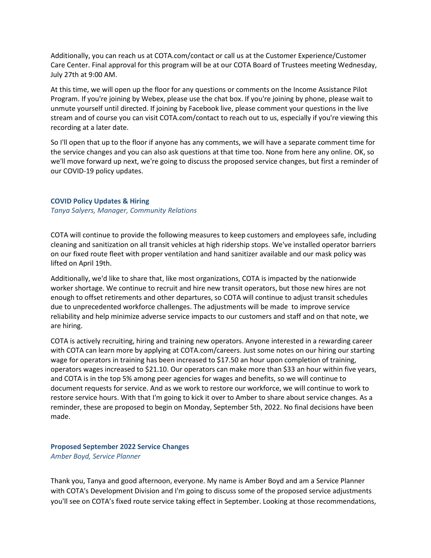Additionally, you can reach us at COTA.com/contact or call us at the Customer Experience/Customer Care Center. Final approval for this program will be at our COTA Board of Trustees meeting Wednesday, July 27th at 9:00 AM.

At this time, we will open up the floor for any questions or comments on the Income Assistance Pilot Program. If you're joining by Webex, please use the chat box. If you're joining by phone, please wait to unmute yourself until directed. If joining by Facebook live, please comment your questions in the live stream and of course you can visit COTA.com/contact to reach out to us, especially if you're viewing this recording at a later date.

So I'll open that up to the floor if anyone has any comments, we will have a separate comment time for the service changes and you can also ask questions at that time too. None from here any online. OK, so we'll move forward up next, we're going to discuss the proposed service changes, but first a reminder of our COVID-19 policy updates.

#### **COVID Policy Updates & Hiring**

*Tanya Salyers, Manager, Community Relations*

COTA will continue to provide the following measures to keep customers and employees safe, including cleaning and sanitization on all transit vehicles at high ridership stops. We've installed operator barriers on our fixed route fleet with proper ventilation and hand sanitizer available and our mask policy was lifted on April 19th.

Additionally, we'd like to share that, like most organizations, COTA is impacted by the nationwide worker shortage. We continue to recruit and hire new transit operators, but those new hires are not enough to offset retirements and other departures, so COTA will continue to adjust transit schedules due to unprecedented workforce challenges. The adjustments will be made to improve service reliability and help minimize adverse service impacts to our customers and staff and on that note, we are hiring.

COTA is actively recruiting, hiring and training new operators. Anyone interested in a rewarding career with COTA can learn more by applying at COTA.com/careers. Just some notes on our hiring our starting wage for operators in training has been increased to \$17.50 an hour upon completion of training, operators wages increased to \$21.10. Our operators can make more than \$33 an hour within five years, and COTA is in the top 5% among peer agencies for wages and benefits, so we will continue to document requests for service. And as we work to restore our workforce, we will continue to work to restore service hours. With that I'm going to kick it over to Amber to share about service changes. As a reminder, these are proposed to begin on Monday, September 5th, 2022. No final decisions have been made.

**Proposed September 2022 Service Changes** *Amber Boyd, Service Planner*

Thank you, Tanya and good afternoon, everyone. My name is Amber Boyd and am a Service Planner with COTA's Development Division and I'm going to discuss some of the proposed service adjustments you'll see on COTA's fixed route service taking effect in September. Looking at those recommendations,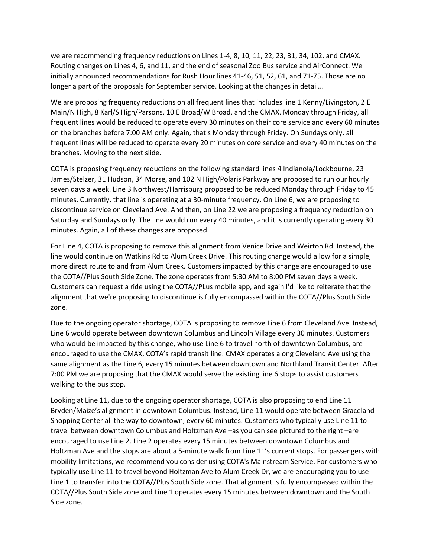we are recommending frequency reductions on Lines 1-4, 8, 10, 11, 22, 23, 31, 34, 102, and CMAX. Routing changes on Lines 4, 6, and 11, and the end of seasonal Zoo Bus service and AirConnect. We initially announced recommendations for Rush Hour lines 41-46, 51, 52, 61, and 71-75. Those are no longer a part of the proposals for September service. Looking at the changes in detail...

We are proposing frequency reductions on all frequent lines that includes line 1 Kenny/Livingston, 2 E Main/N High, 8 Karl/S High/Parsons, 10 E Broad/W Broad, and the CMAX. Monday through Friday, all frequent lines would be reduced to operate every 30 minutes on their core service and every 60 minutes on the branches before 7:00 AM only. Again, that's Monday through Friday. On Sundays only, all frequent lines will be reduced to operate every 20 minutes on core service and every 40 minutes on the branches. Moving to the next slide.

COTA is proposing frequency reductions on the following standard lines 4 Indianola/Lockbourne, 23 James/Stelzer, 31 Hudson, 34 Morse, and 102 N High/Polaris Parkway are proposed to run our hourly seven days a week. Line 3 Northwest/Harrisburg proposed to be reduced Monday through Friday to 45 minutes. Currently, that line is operating at a 30-minute frequency. On Line 6, we are proposing to discontinue service on Cleveland Ave. And then, on Line 22 we are proposing a frequency reduction on Saturday and Sundays only. The line would run every 40 minutes, and it is currently operating every 30 minutes. Again, all of these changes are proposed.

For Line 4, COTA is proposing to remove this alignment from Venice Drive and Weirton Rd. Instead, the line would continue on Watkins Rd to Alum Creek Drive. This routing change would allow for a simple, more direct route to and from Alum Creek. Customers impacted by this change are encouraged to use the COTA//Plus South Side Zone. The zone operates from 5:30 AM to 8:00 PM seven days a week. Customers can request a ride using the COTA//PLus mobile app, and again I'd like to reiterate that the alignment that we're proposing to discontinue is fully encompassed within the COTA//Plus South Side zone.

Due to the ongoing operator shortage, COTA is proposing to remove Line 6 from Cleveland Ave. Instead, Line 6 would operate between downtown Columbus and Lincoln Village every 30 minutes. Customers who would be impacted by this change, who use Line 6 to travel north of downtown Columbus, are encouraged to use the CMAX, COTA's rapid transit line. CMAX operates along Cleveland Ave using the same alignment as the Line 6, every 15 minutes between downtown and Northland Transit Center. After 7:00 PM we are proposing that the CMAX would serve the existing line 6 stops to assist customers walking to the bus stop.

Looking at Line 11, due to the ongoing operator shortage, COTA is also proposing to end Line 11 Bryden/Maize's alignment in downtown Columbus. Instead, Line 11 would operate between Graceland Shopping Center all the way to downtown, every 60 minutes. Customers who typically use Line 11 to travel between downtown Columbus and Holtzman Ave –as you can see pictured to the right –are encouraged to use Line 2. Line 2 operates every 15 minutes between downtown Columbus and Holtzman Ave and the stops are about a 5-minute walk from Line 11's current stops. For passengers with mobility limitations, we recommend you consider using COTA's Mainstream Service. For customers who typically use Line 11 to travel beyond Holtzman Ave to Alum Creek Dr, we are encouraging you to use Line 1 to transfer into the COTA//Plus South Side zone. That alignment is fully encompassed within the COTA//Plus South Side zone and Line 1 operates every 15 minutes between downtown and the South Side zone.